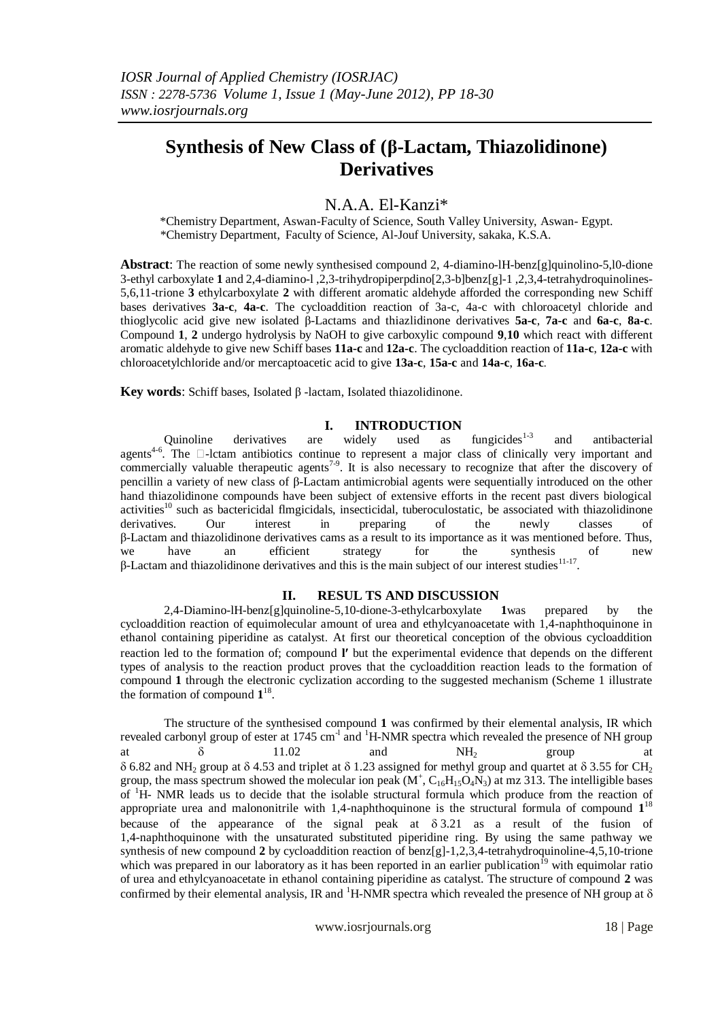# **Synthesis of New Class of (β-Lactam, Thiazolidinone) Derivatives**

## N.A.A. El-Kanzi\*

\*Chemistry Department, Aswan-Faculty of Science, South Valley University, Aswan- Egypt. \*Chemistry Department, Faculty of Science, Al-Jouf University, sakaka, K.S.A.

**Abstract**: The reaction of some newly synthesised compound 2, 4-diamino-lH-benz[g]quinolino-5,l0-dione 3-ethyl carboxylate **1** and 2,4-diamino-l ,2,3-trihydropiperpdino[2,3-b]benz[g]-1 ,2,3,4-tetrahydroquinolines-5,6,11-trione **3** ethylcarboxylate **2** with different aromatic aldehyde afforded the corresponding new Schiff bases derivatives **3a-c**, **4a-c**. The cycloaddition reaction of 3a-c, 4a-c with chloroacetyl chloride and thioglycolic acid give new isolated β-Lactams and thiazlidinone derivatives **5a-c**, **7a-c** and **6a-c**, **8a-c**. Compound **1**, **2** undergo hydrolysis by NaOH to give carboxylic compound **9**,**10** which react with different aromatic aldehyde to give new Schiff bases **11a-c** and **12a-c**. The cycloaddition reaction of **11a-c**, **12a-c** with chloroacetylchloride and/or mercaptoacetic acid to give **13a-c**, **15a-c** and **14a-c**, **16a-c**.

**Key words**: Schiff bases, Isolated β -lactam, Isolated thiazolidinone.

#### **I. INTRODUCTION**

Quinoline derivatives are widely used as fungicides $1-3$ and antibacterial agents<sup>4-6</sup>. The  $\Box$ -lctam antibiotics continue to represent a major class of clinically very important and commercially valuable therapeutic agents<sup>7.9</sup>. It is also necessary to recognize that after the discovery of pencillin a variety of new class of β-Lactam antimicrobial agents were sequentially introduced on the other hand thiazolidinone compounds have been subject of extensive efforts in the recent past divers biological activities<sup>10</sup> such as bactericidal flmgicidals, insecticidal, tuberoculostatic, be associated with thiazolidinone derivatives. Our interest in preparing of the newly classes of β-Lactam and thiazolidinone derivatives cams as a result to its importance as it was mentioned before. Thus, we have an efficient strategy for the synthesis of new β-Lactam and thiazolidinone derivatives and this is the main subject of our interest studies<sup>11-17</sup>.

#### **II. RESUL TS AND DISCUSSION**

2,4-Diamino-lH-benz[g]quinoline-5,10-dione-3-ethylcarboxylate **1**was prepared by the cycloaddition reaction of equimolecular amount of urea and ethylcyanoacetate with 1,4-naphthoquinone in ethanol containing piperidine as catalyst. At first our theoretical conception of the obvious cycloaddition reaction led to the formation of; compound **l'** but the experimental evidence that depends on the different types of analysis to the reaction product proves that the cycloaddition reaction leads to the formation of compound **1** through the electronic cyclization according to the suggested mechanism (Scheme 1 illustrate the formation of compound  $1^{18}$ .

The structure of the synthesised compound **1** was confirmed by their elemental analysis, IR which revealed carbonyl group of ester at 1745 cm<sup>-l</sup> and <sup>1</sup>H-NMR spectra which revealed the presence of NH group at  $\delta$  11.02 and  $NH_2$  group at  $\delta$  6.82 and NH<sub>2</sub> group at  $\delta$  4.53 and triplet at  $\delta$  1.23 assigned for methyl group and quartet at  $\delta$  3.55 for CH<sub>2</sub> group, the mass spectrum showed the molecular ion peak  $(M^+, C_{16}H_{15}O_4N_3)$  at mz 313. The intelligible bases of <sup>1</sup>H- NMR leads us to decide that the isolable structural formula which produce from the reaction of appropriate urea and malononitrile with 1,4-naphthoquinone is the structural formula of compound  $1^{18}$ because of the appearance of the signal peak at  $\delta$  3.21 as a result of the fusion of 1,4-naphthoquinone with the unsaturated substituted piperidine ring. By using the same pathway we synthesis of new compound **2** by cycloaddition reaction of benz[g]-1,2,3,4-tetrahydroquinoline-4,5,10-trione which was prepared in our laboratory as it has been reported in an earlier publication<sup>19</sup> with equimolar ratio of urea and ethylcyanoacetate in ethanol containing piperidine as catalyst. The structure of compound **2** was confirmed by their elemental analysis, IR and <sup>1</sup>H-NMR spectra which revealed the presence of NH group at  $\delta$ 

www.iosrjournals.org 18 | Page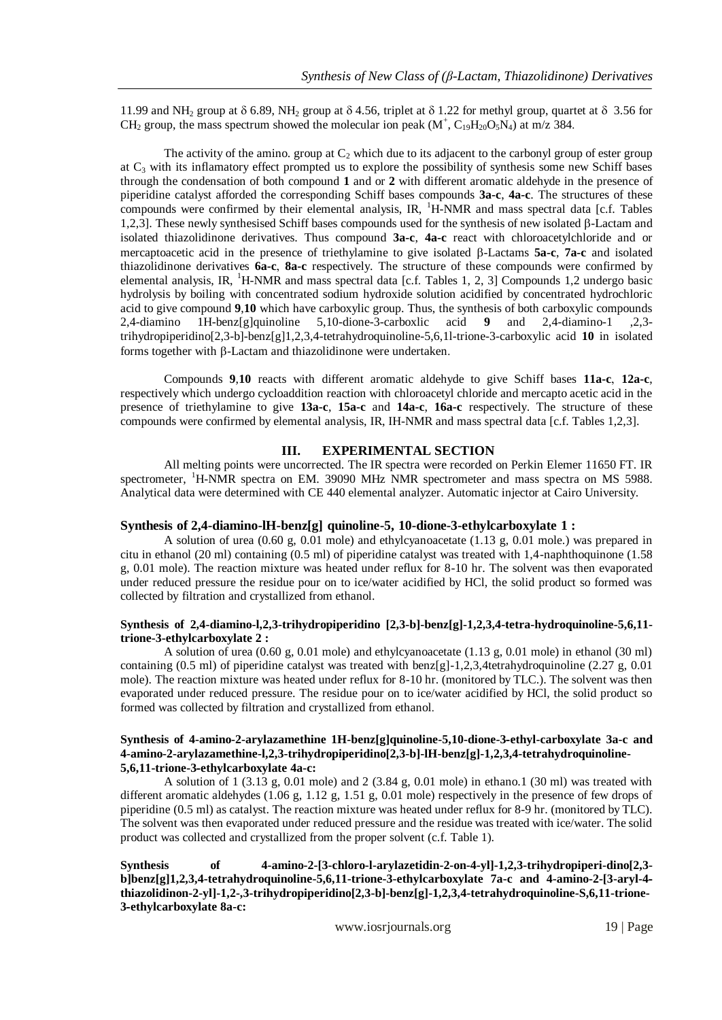11.99 and NH<sub>2</sub> group at  $\delta$  6.89, NH<sub>2</sub> group at  $\delta$  4.56, triplet at  $\delta$  1.22 for methyl group, quartet at  $\delta$  3.56 for CH<sub>2</sub> group, the mass spectrum showed the molecular ion peak  $(M^+, C_{19}H_{20}O_5N_4)$  at m/z 384.

The activity of the amino. group at  $C_2$  which due to its adjacent to the carbonyl group of ester group at  $C_3$  with its inflamatory effect prompted us to explore the possibility of synthesis some new Schiff bases through the condensation of both compound **1** and or **2** with different aromatic aldehyde in the presence of piperidine catalyst afforded the corresponding Schiff bases compounds **3a-c**, **4a-c**. The structures of these compounds were confirmed by their elemental analysis, IR,  ${}^{1}$ H-NMR and mass spectral data [c.f. Tables] 1,2,3]. These newly synthesised Schiff bases compounds used for the synthesis of new isolated  $\beta$ -Lactam and isolated thiazolidinone derivatives. Thus compound **3a-c**, **4a-c** react with chloroacetylchloride and or mercaptoacetic acid in the presence of triethylamine to give isolated -Lactams **5a-c**, **7a-c** and isolated thiazolidinone derivatives **6a-c**, **8a-c** respectively. The structure of these compounds were confirmed by elemental analysis, IR, <sup>1</sup>H-NMR and mass spectral data [c.f. Tables 1, 2, 3] Compounds 1,2 undergo basic hydrolysis by boiling with concentrated sodium hydroxide solution acidified by concentrated hydrochloric acid to give compound **9**,**10** which have carboxylic group. Thus, the synthesis of both carboxylic compounds 2,4-diamino 1H-benz[g]quinoline 5,10-dione-3-carboxlic acid **9** and 2,4-diamino-1 ,2,3 trihydropiperidino[2,3-b]-benz[g]1,2,3,4-tetrahydroquinoline-5,6,1l-trione-3-carboxylic acid **10** in isolated forms together with  $\beta$ -Lactam and thiazolidinone were undertaken.

Compounds **9**,**10** reacts with different aromatic aldehyde to give Schiff bases **11a-c**, **12a-c**, respectively which undergo cycloaddition reaction with chloroacetyl chloride and mercapto acetic acid in the presence of triethylamine to give **13a-c**, **15a-c** and **14a-c**, **16a-c** respectively. The structure of these compounds were confirmed by elemental analysis, IR, IH-NMR and mass spectral data [c.f. Tables 1,2,3].

#### **III. EXPERIMENTAL SECTION**

All melting points were uncorrected. The IR spectra were recorded on Perkin Elemer 11650 FT. IR spectrometer, <sup>1</sup>H-NMR spectra on EM. 39090 MHz NMR spectrometer and mass spectra on MS 5988. Analytical data were determined with CE 440 elemental analyzer. Automatic injector at Cairo University.

#### **Synthesis of 2,4-diamino-lH-benz[g] quinoline-5, 10-dione-3-ethylcarboxylate 1 :**

A solution of urea (0.60 g, 0.01 mole) and ethylcyanoacetate (1.13 g, 0.01 mole.) was prepared in citu in ethanol (20 ml) containing (0.5 ml) of piperidine catalyst was treated with 1,4-naphthoquinone (1.58 g, 0.01 mole). The reaction mixture was heated under reflux for 8-10 hr. The solvent was then evaporated under reduced pressure the residue pour on to ice/water acidified by HCl, the solid product so formed was collected by filtration and crystallized from ethanol.

#### **Synthesis of 2,4-diamino-l,2,3-trihydropiperidino [2,3-b]-benz[g]-1,2,3,4-tetra-hydroquinoline-5,6,11 trione-3-ethylcarboxylate 2 :**

A solution of urea (0.60 g, 0.01 mole) and ethylcyanoacetate (1.13 g, 0.01 mole) in ethanol (30 ml) containing (0.5 ml) of piperidine catalyst was treated with benz $[g]$ -1,2,3,4tetrahydroquinoline (2.27 g, 0.01) mole). The reaction mixture was heated under reflux for 8-10 hr. (monitored by TLC.). The solvent was then evaporated under reduced pressure. The residue pour on to ice/water acidified by HCl, the solid product so formed was collected by filtration and crystallized from ethanol.

#### **Synthesis of 4-amino-2-arylazamethine 1H-benz[g]quinoline-5,10-dione-3-ethyl-carboxylate 3a-c and 4-amino-2-arylazamethine-l,2,3-trihydropiperidino[2,3-b]-lH-benz[g]-1,2,3,4-tetrahydroquinoline-5,6,11-trione-3-ethylcarboxylate 4a-c:**

A solution of 1 (3.13 g, 0.01 mole) and 2 (3.84 g, 0.01 mole) in ethano.1 (30 ml) was treated with different aromatic aldehydes (1.06 g, 1.12 g, 1.51 g, 0.01 mole) respectively in the presence of few drops of piperidine (0.5 ml) as catalyst. The reaction mixture was heated under reflux for 8-9 hr. (monitored by TLC). The solvent was then evaporated under reduced pressure and the residue was treated with ice/water. The solid product was collected and crystallized from the proper solvent (c.f. Table 1).

**Synthesis of 4-amino-2-[3-chloro-l-arylazetidin-2-on-4-yl]-1,2,3-trihydropiperi-dino[2,3 b]benz[g]1,2,3,4-tetrahydroquinoline-5,6,11-trione-3-ethylcarboxylate 7a-c and 4-amino-2-[3-aryl-4 thiazolidinon-2-yl]-1,2-,3-trihydropiperidino[2,3-b]-benz[g]-1,2,3,4-tetrahydroquinoline-S,6,11-trione-3-ethylcarboxylate 8a-c:**

www.iosrjournals.org 19 | Page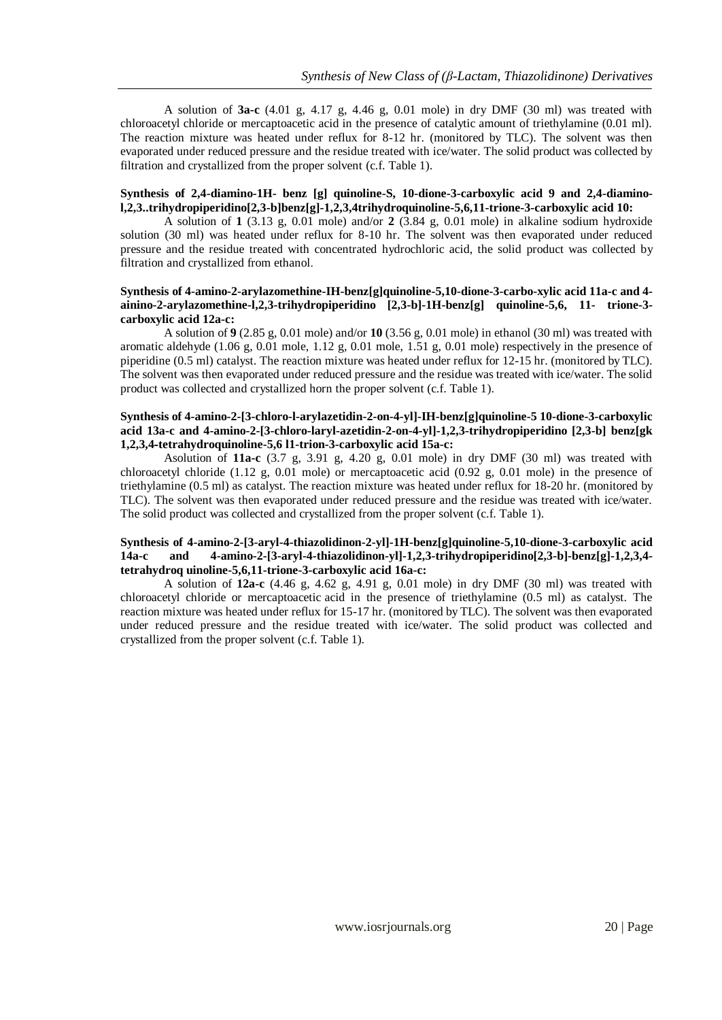A solution of **3a-c** (4.01 g, 4.17 g, 4.46 g, 0.01 mole) in dry DMF (30 ml) was treated with chloroacetyl chloride or mercaptoacetic acid in the presence of catalytic amount of triethylamine (0.01 ml). The reaction mixture was heated under reflux for 8-12 hr. (monitored by TLC). The solvent was then evaporated under reduced pressure and the residue treated with ice/water. The solid product was collected by filtration and crystallized from the proper solvent (c.f. Table 1).

#### **Synthesis of 2,4-diamino-1H- benz [g] quinoline-S, 10-dione-3-carboxylic acid 9 and 2,4-diaminol,2,3..trihydropiperidino[2,3-b]benz[g]-1,2,3,4trihydroquinoline-5,6,11-trione-3-carboxylic acid 10:**

A solution of **1** (3.13 g, 0.01 mole) and/or **2** (3.84 g, 0.01 mole) in alkaline sodium hydroxide solution (30 ml) was heated under reflux for 8-10 hr. The solvent was then evaporated under reduced pressure and the residue treated with concentrated hydrochloric acid, the solid product was collected by filtration and crystallized from ethanol.

#### **Synthesis of 4-amino-2-arylazomethine-IH-benz[g]quinoline-5,10-dione-3-carbo-xylic acid 11a-c and 4 ainino-2-arylazomethine-l,2,3-trihydropiperidino [2,3-b]-1H-benz[g] quinoline-5,6, 11- trione-3 carboxylic acid 12a-c:**

A solution of **9** (2.85 g, 0.01 mole) and/or **10** (3.56 g, 0.01 mole) in ethanol (30 ml) was treated with aromatic aldehyde (1.06 g, 0.01 mole, 1.12 g, 0.01 mole, 1.51 g, 0.01 mole) respectively in the presence of piperidine (0.5 ml) catalyst. The reaction mixture was heated under reflux for 12-15 hr. (monitored by TLC). The solvent was then evaporated under reduced pressure and the residue was treated with ice/water. The solid product was collected and crystallized horn the proper solvent (c.f. Table 1).

#### **Synthesis of 4-amino-2-[3-chloro-l-arylazetidin-2-on-4-yl]-IH-benz[g]quinoline-5 10-dione-3-carboxylic acid 13a-c and 4-amino-2-[3-chloro-laryl-azetidin-2-on-4-yl]-1,2,3-trihydropiperidino [2,3-b] benz[gk 1,2,3,4-tetrahydroquinoline-5,6 l1-trion-3-carboxylic acid 15a-c:**

Asolution of **11a-c** (3.7 g, 3.91 g, 4.20 g, 0.01 mole) in dry DMF (30 ml) was treated with chloroacetyl chloride (1.12 g, 0.01 mole) or mercaptoacetic acid (0.92 g, 0.01 mole) in the presence of triethylamine (0.5 ml) as catalyst. The reaction mixture was heated under reflux for 18-20 hr. (monitored by TLC). The solvent was then evaporated under reduced pressure and the residue was treated with ice/water. The solid product was collected and crystallized from the proper solvent (c.f. Table 1).

#### **Synthesis of 4-amino-2-[3-aryl-4-thiazolidinon-2-yl]-1H-benz[g]quinoline-5,10-dione-3-carboxylic acid 14a-c and 4-amino-2-[3-aryl-4-thiazolidinon-yl]-1,2,3-trihydropiperidino[2,3-b]-benz[g]-1,2,3,4 tetrahydroq uinoline-5,6,11-trione-3-carboxylic acid 16a-c:**

A solution of **12a-c** (4.46 g, 4.62 g, 4.91 g, 0.01 mole) in dry DMF (30 ml) was treated with chloroacetyl chloride or mercaptoacetic acid in the presence of triethylamine (0.5 ml) as catalyst. The reaction mixture was heated under reflux for 15-17 hr. (monitored by TLC). The solvent was then evaporated under reduced pressure and the residue treated with ice/water. The solid product was collected and crystallized from the proper solvent (c.f. Table 1).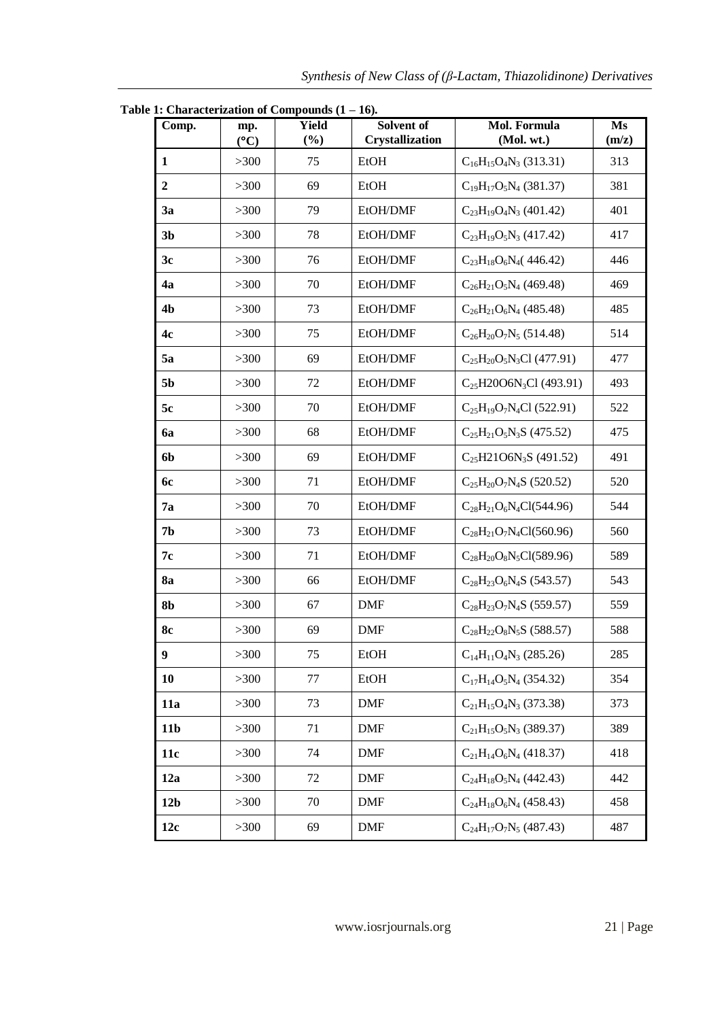| Comp.            | mp.<br>$({}^{\circ}C)$ | 1. Characterization or Compounds (1<br><b>Yield</b><br>(%) | Solvent of<br>Crystallization | Mol. Formula<br>(Mol. wt.)      | Ms<br>(m/z) |  |
|------------------|------------------------|------------------------------------------------------------|-------------------------------|---------------------------------|-------------|--|
| 1                | $>300$                 | 75                                                         | <b>EtOH</b>                   | $C_{16}H_{15}O_4N_3$ (313.31)   | 313         |  |
| $\boldsymbol{2}$ | >300                   | 69                                                         | <b>EtOH</b>                   | $C_{19}H_{17}O_5N_4$ (381.37)   | 381         |  |
| 3a               | >300                   | 79                                                         | EtOH/DMF                      | $C_{23}H_{19}O_4N_3$ (401.42)   | 401         |  |
| 3 <sub>b</sub>   | >300                   | 78                                                         | EtOH/DMF                      | $C_{23}H_{19}O_5N_3$ (417.42)   | 417         |  |
| 3c               | >300                   | 76                                                         | EtOH/DMF                      | $C_{23}H_{18}O_6N_4$ (446.42)   | 446         |  |
| 4a               | >300                   | 70                                                         | EtOH/DMF                      | $C_{26}H_{21}O_5N_4$ (469.48)   | 469         |  |
| 4 <sub>b</sub>   | >300                   | 73                                                         | EtOH/DMF                      | $C_{26}H_{21}O_6N_4$ (485.48)   | 485         |  |
| 4c               | >300                   | 75                                                         | EtOH/DMF                      | $C_{26}H_{20}O_7N_5$ (514.48)   | 514         |  |
| 5a               | >300                   | 69                                                         | EtOH/DMF                      | $C_{25}H_{20}O_5N_3Cl$ (477.91) | 477         |  |
| 5 <sub>b</sub>   | >300                   | 72                                                         | EtOH/DMF                      | $C_{25}H20O6N_3Cl$ (493.91)     | 493         |  |
| 5c               | >300                   | 70                                                         | EtOH/DMF                      | $C_{25}H_{19}O_7N_4Cl$ (522.91) | 522         |  |
| <b>6a</b>        | >300                   | 68                                                         | EtOH/DMF                      | $C_{25}H_{21}O_5N_3S$ (475.52)  | 475         |  |
| <b>6b</b>        | >300                   | 69                                                         | EtOH/DMF                      | $C_{25}H21O6N_3S$ (491.52)      | 491         |  |
| <b>6c</b>        | >300                   | 71                                                         | EtOH/DMF                      | $C_{25}H_{20}O_7N_4S$ (520.52)  | 520         |  |
| 7a               | >300                   | 70                                                         | EtOH/DMF                      | $C_{28}H_{21}O_6N_4Cl(544.96)$  | 544         |  |
| 7 <sub>b</sub>   | >300                   | 73                                                         | EtOH/DMF                      | $C_{28}H_{21}O_7N_4Cl(560.96)$  | 560         |  |
| 7c               | >300                   | 71                                                         | EtOH/DMF                      | $C_{28}H_{20}O_8N_5Cl(589.96)$  | 589         |  |
| <b>8a</b>        | >300                   | 66                                                         | EtOH/DMF                      | $C_{28}H_{23}O_6N_4S$ (543.57)  | 543         |  |
| 8 <sub>b</sub>   | >300                   | 67                                                         | <b>DMF</b>                    | $C_{28}H_{23}O_7N_4S$ (559.57)  | 559         |  |
| <b>8c</b>        | >300                   | 69                                                         | <b>DMF</b>                    | $C_{28}H_{22}O_8N_5S$ (588.57)  | 588         |  |
| 9                | >300                   | 75                                                         | EtOH                          | $C_{14}H_{11}O_4N_3$ (285.26)   | 285         |  |
| 10               | >300                   | 77                                                         | EtOH                          | $C_{17}H_{14}O_5N_4$ (354.32)   | 354         |  |
| 11a              | >300                   | 73                                                         | <b>DMF</b>                    | $C_{21}H_{15}O_4N_3$ (373.38)   | 373         |  |
| 11 <sub>b</sub>  | >300                   | 71                                                         | <b>DMF</b>                    | $C_{21}H_{15}O_5N_3$ (389.37)   | 389         |  |
| 11c              | >300                   | 74                                                         | <b>DMF</b>                    | $C_{21}H_{14}O_6N_4$ (418.37)   | 418         |  |
| 12a              | >300                   | 72                                                         | <b>DMF</b>                    | $C_{24}H_{18}O_5N_4$ (442.43)   | 442         |  |
| 12 <sub>b</sub>  | >300                   | 70                                                         | <b>DMF</b>                    | $C_{24}H_{18}O_6N_4$ (458.43)   | 458         |  |
| 12c              | >300                   | 69                                                         | <b>DMF</b>                    | $C_{24}H_{17}O_7N_5$ (487.43)   | 487         |  |

**Table 1: Characterization of Compounds (1 – 16).**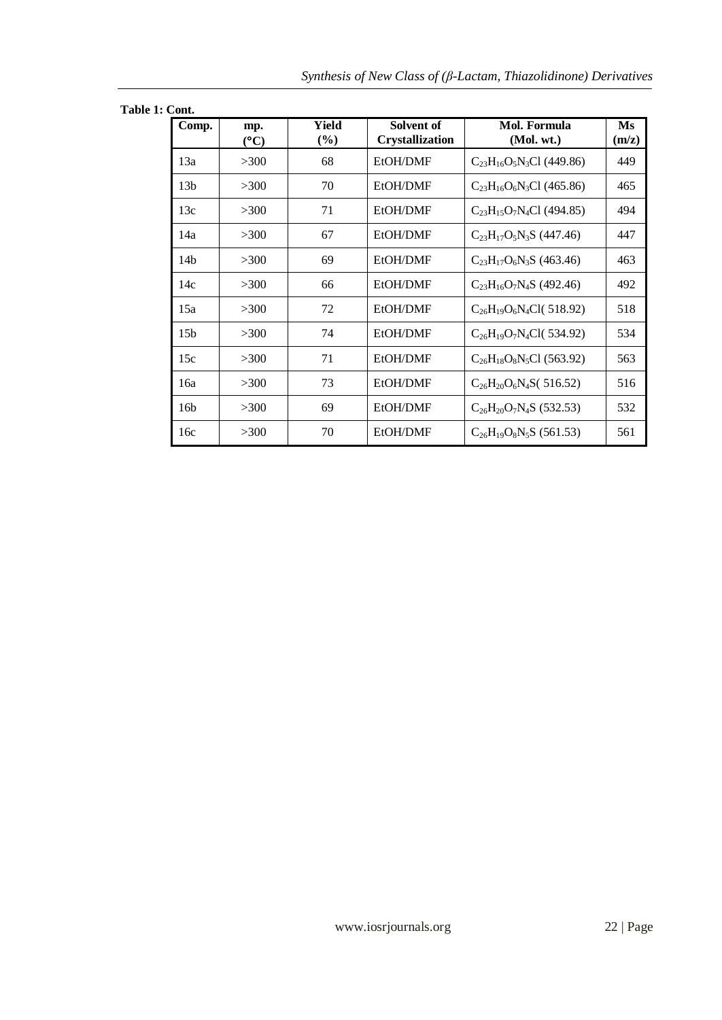| Table 1: Cont. |  |  |
|----------------|--|--|
|----------------|--|--|

| Comp.           | mp.<br>$(^{\circ}C)$ | Yield<br>$(\%)$ | Solvent of<br><b>Crystallization</b> | Mol. Formula<br>(Mol. wt.)      | Ms<br>(m/z) |
|-----------------|----------------------|-----------------|--------------------------------------|---------------------------------|-------------|
| 13a             | >300                 | 68              | EtOH/DMF                             | $C_{23}H_{16}O_5N_3Cl$ (449.86) | 449         |
| 13 <sub>b</sub> | >300                 | 70              | EtOH/DMF                             | $C_{23}H_{16}O_6N_3Cl$ (465.86) | 465         |
| 13c             | >300                 | 71              | EtOH/DMF                             | $C_{23}H_{15}O_7N_4Cl$ (494.85) | 494         |
| 14a             | >300                 | 67              | EtOH/DMF                             | $C_{23}H_{17}O_5N_3S$ (447.46)  | 447         |
| 14 <sub>b</sub> | >300                 | 69              | EtOH/DMF                             | $C_{23}H_{17}O_6N_3S$ (463.46)  | 463         |
| 14c             | >300                 | 66              | EtOH/DMF                             | $C_{23}H_{16}O_7N_4S$ (492.46)  | 492         |
| 15a             | >300                 | 72              | EtOH/DMF                             | $C_{26}H_{19}O_6N_4Cl(518.92)$  | 518         |
| 15 <sub>b</sub> | >300                 | 74              | EtOH/DMF                             | $C_{26}H_{19}O_7N_4Cl(534.92)$  | 534         |
| 15c             | >300                 | 71              | EtOH/DMF                             | $C_{26}H_{18}O_8N_5Cl$ (563.92) | 563         |
| 16a             | >300                 | 73              | EtOH/DMF                             | $C_{26}H_{20}O_6N_4S(516.52)$   | 516         |
| 16 <sub>b</sub> | >300                 | 69              | EtOH/DMF                             | $C_{26}H_{20}O_7N_4S$ (532.53)  | 532         |
| 16c             | >300                 | 70              | EtOH/DMF                             | $C_{26}H_{19}O_8N_5S$ (561.53)  | 561         |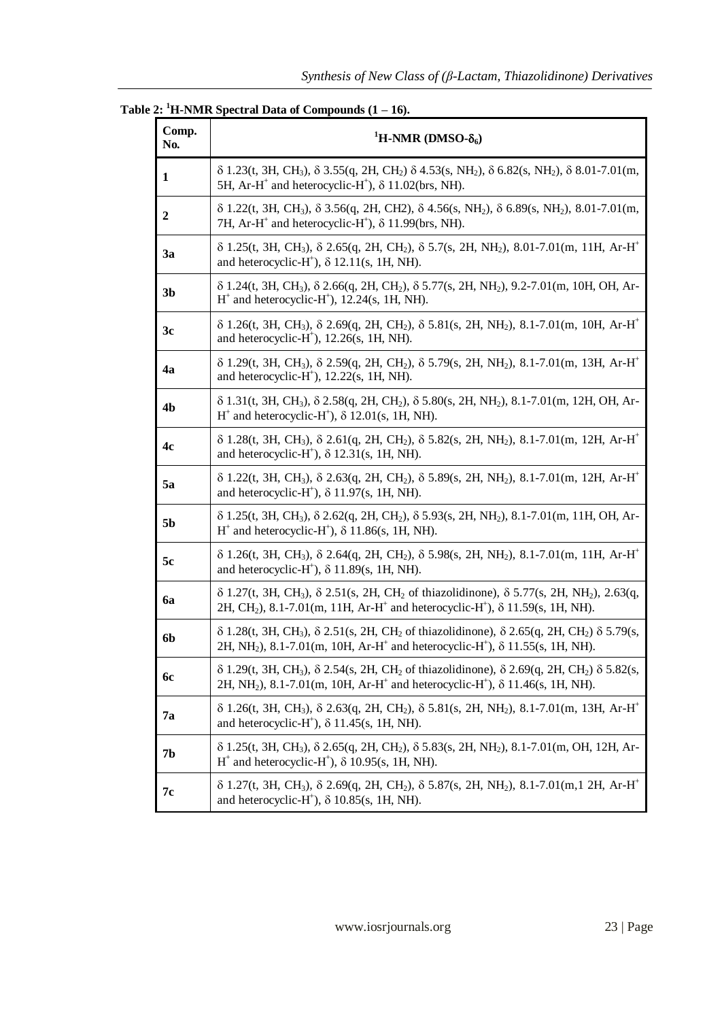| Comp.<br>No.   | <sup>1</sup> H-NMR (DMSO- $\delta_6$ )                                                                                                                                                                                                                                              |
|----------------|-------------------------------------------------------------------------------------------------------------------------------------------------------------------------------------------------------------------------------------------------------------------------------------|
| 1              | $\delta$ 1.23(t, 3H, CH <sub>3</sub> ), $\delta$ 3.55(q, 2H, CH <sub>2</sub> ) $\delta$ 4.53(s, NH <sub>2</sub> ), $\delta$ 6.82(s, NH <sub>2</sub> ), $\delta$ 8.01-7.01(m,<br>5H, Ar-H <sup>+</sup> and heterocyclic-H <sup>+</sup> ), $\delta$ 11.02(brs, NH).                   |
| 2              | $\delta$ 1.22(t, 3H, CH <sub>3</sub> ), $\delta$ 3.56(q, 2H, CH2), $\delta$ 4.56(s, NH <sub>2</sub> ), $\delta$ 6.89(s, NH <sub>2</sub> ), 8.01-7.01(m,<br>7H, Ar-H <sup>+</sup> and heterocyclic-H <sup>+</sup> ), $\delta$ 11.99(brs, NH).                                        |
| 3a             | $\delta$ 1.25(t, 3H, CH <sub>3</sub> ), $\delta$ 2.65(q, 2H, CH <sub>2</sub> ), $\delta$ 5.7(s, 2H, NH <sub>2</sub> ), 8.01-7.01(m, 11H, Ar-H <sup>+</sup><br>and heterocyclic- $H^+$ ), $\delta$ 12.11(s, 1H, NH).                                                                 |
| 3 <sub>b</sub> | $\delta$ 1.24(t, 3H, CH <sub>3</sub> ), $\delta$ 2.66(q, 2H, CH <sub>2</sub> ), $\delta$ 5.77(s, 2H, NH <sub>2</sub> ), 9.2-7.01(m, 10H, OH, Ar-<br>$H^+$ and heterocyclic- $H^+$ ), 12.24(s, 1H, NH).                                                                              |
| 3c             | $\delta$ 1.26(t, 3H, CH <sub>3</sub> ), $\delta$ 2.69(q, 2H, CH <sub>2</sub> ), $\delta$ 5.81(s, 2H, NH <sub>2</sub> ), 8.1-7.01(m, 10H, Ar-H <sup>+</sup><br>and heterocyclic- $H^*$ ), 12.26(s, 1H, NH).                                                                          |
| 4a             | $\delta$ 1.29(t, 3H, CH <sub>3</sub> ), $\delta$ 2.59(q, 2H, CH <sub>2</sub> ), $\delta$ 5.79(s, 2H, NH <sub>2</sub> ), 8.1-7.01(m, 13H, Ar-H <sup>+</sup><br>and heterocyclic- $H^*$ ), 12.22(s, 1H, NH).                                                                          |
| 4b             | $\delta$ 1.31(t, 3H, CH <sub>3</sub> ), $\delta$ 2.58(q, 2H, CH <sub>2</sub> ), $\delta$ 5.80(s, 2H, NH <sub>2</sub> ), 8.1-7.01(m, 12H, OH, Ar-<br>$H^+$ and heterocyclic-H <sup>+</sup> ), $\delta$ 12.01(s, 1H, NH).                                                             |
| 4c             | $\delta$ 1.28(t, 3H, CH <sub>3</sub> ), $\delta$ 2.61(q, 2H, CH <sub>2</sub> ), $\delta$ 5.82(s, 2H, NH <sub>2</sub> ), 8.1-7.01(m, 12H, Ar-H <sup>+</sup><br>and heterocyclic-H <sup>+</sup> ), $\delta$ 12.31(s, 1H, NH).                                                         |
| <b>5a</b>      | $\delta$ 1.22(t, 3H, CH <sub>3</sub> ), $\delta$ 2.63(q, 2H, CH <sub>2</sub> ), $\delta$ 5.89(s, 2H, NH <sub>2</sub> ), 8.1-7.01(m, 12H, Ar-H <sup>+</sup><br>and heterocyclic-H <sup>+</sup> ), $\delta$ 11.97(s, 1H, NH).                                                         |
| 5b             | $\delta$ 1.25(t, 3H, CH <sub>3</sub> ), $\delta$ 2.62(q, 2H, CH <sub>2</sub> ), $\delta$ 5.93(s, 2H, NH <sub>2</sub> ), 8.1-7.01(m, 11H, OH, Ar-<br>$H^+$ and heterocyclic-H <sup>+</sup> ), $\delta$ 11.86(s, 1H, NH).                                                             |
| 5c             | $\delta$ 1.26(t, 3H, CH <sub>3</sub> ), $\delta$ 2.64(q, 2H, CH <sub>2</sub> ), $\delta$ 5.98(s, 2H, NH <sub>2</sub> ), 8.1-7.01(m, 11H, Ar-H <sup>+</sup><br>and heterocyclic-H <sup>+</sup> ), $\delta$ 11.89(s, 1H, NH).                                                         |
| <b>6a</b>      | $\delta$ 1.27(t, 3H, CH <sub>3</sub> ), $\delta$ 2.51(s, 2H, CH <sub>2</sub> of thiazolidinone), $\delta$ 5.77(s, 2H, NH <sub>2</sub> ), 2.63(q,<br>2H, CH <sub>2</sub> ), 8.1-7.01(m, 11H, Ar-H <sup>+</sup> and heterocyclic-H <sup>+</sup> ), $\delta$ 11.59(s, 1H, NH).         |
| 6b             | $\delta$ 1.28(t, 3H, CH <sub>3</sub> ), $\delta$ 2.51(s, 2H, CH <sub>2</sub> of thiazolidinone), $\delta$ 2.65(q, 2H, CH <sub>2</sub> ) $\delta$ 5.79(s,<br>2H, NH <sub>2</sub> ), 8.1-7.01(m, 10H, Ar-H <sup>+</sup> and heterocyclic-H <sup>+</sup> ), $\delta$ 11.55(s, 1H, NH). |
| <b>6c</b>      | $\delta$ 1.29(t, 3H, CH <sub>3</sub> ), $\delta$ 2.54(s, 2H, CH <sub>2</sub> of thiazolidinone), $\delta$ 2.69(q, 2H, CH <sub>2</sub> ) $\delta$ 5.82(s,<br>2H, NH <sub>2</sub> ), 8.1-7.01(m, 10H, Ar-H <sup>+</sup> and heterocyclic-H <sup>+</sup> ), $\delta$ 11.46(s, 1H, NH). |
| 7a             | $\delta$ 1.26(t, 3H, CH <sub>3</sub> ), $\delta$ 2.63(q, 2H, CH <sub>2</sub> ), $\delta$ 5.81(s, 2H, NH <sub>2</sub> ), 8.1-7.01(m, 13H, Ar-H <sup>+</sup><br>and heterocyclic- $H^+$ ), $\delta$ 11.45(s, 1H, NH).                                                                 |
| 7b             | $\delta$ 1.25(t, 3H, CH <sub>3</sub> ), $\delta$ 2.65(q, 2H, CH <sub>2</sub> ), $\delta$ 5.83(s, 2H, NH <sub>2</sub> ), 8.1-7.01(m, OH, 12H, Ar-<br>$H^+$ and heterocyclic-H <sup>+</sup> ), $\delta$ 10.95(s, 1H, NH).                                                             |
| 7с             | $\delta$ 1.27(t, 3H, CH <sub>3</sub> ), $\delta$ 2.69(q, 2H, CH <sub>2</sub> ), $\delta$ 5.87(s, 2H, NH <sub>2</sub> ), 8.1-7.01(m, 12H, Ar-H <sup>+</sup><br>and heterocyclic-H <sup>+</sup> ), $\delta$ 10.85(s, 1H, NH).                                                         |

## Table  $2:$  <sup>1</sup>H-NMR Spectral Data of Compounds  $(1 – 16)$ .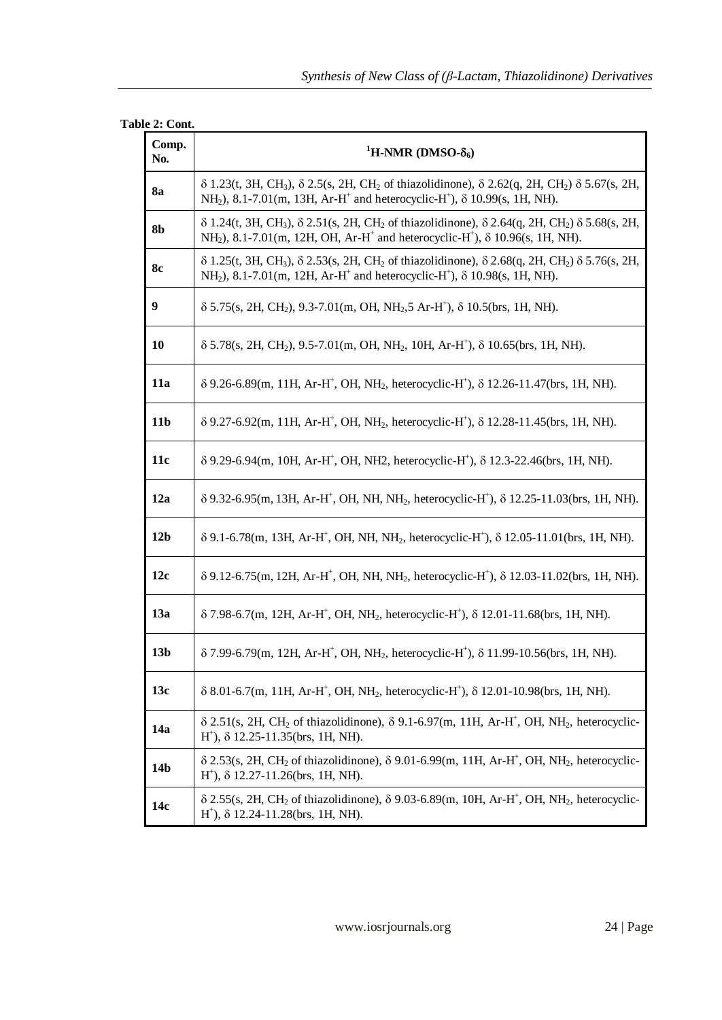#### **Table 2: Cont.**

| Comp.<br>No.    | <sup>1</sup> H-NMR (DMSO- $\delta_6$ )                                                                                                                                                                                                                                                  |
|-----------------|-----------------------------------------------------------------------------------------------------------------------------------------------------------------------------------------------------------------------------------------------------------------------------------------|
| 8a              | $\delta$ 1.23(t, 3H, CH <sub>3</sub> ), $\delta$ 2.5(s, 2H, CH <sub>2</sub> of thiazolidinone), $\delta$ 2.62(q, 2H, CH <sub>2</sub> ) $\delta$ 5.67(s, 2H,<br>NH <sub>2</sub> ), 8.1-7.01(m, 13H, Ar-H <sup>+</sup> and heterocyclic-H <sup>+</sup> ), $\delta$ 10.99(s, 1H, NH).      |
| 8b              | $\delta$ 1.24(t, 3H, CH <sub>3</sub> ), $\delta$ 2.51(s, 2H, CH <sub>2</sub> of thiazolidinone), $\delta$ 2.64(q, 2H, CH <sub>2</sub> ) $\delta$ 5.68(s, 2H,<br>NH <sub>2</sub> ), 8.1-7.01(m, 12H, OH, Ar-H <sup>+</sup> and heterocyclic-H <sup>+</sup> ), $\delta$ 10.96(s, 1H, NH). |
| 8c              | $\delta$ 1.25(t, 3H, CH <sub>3</sub> ), $\delta$ 2.53(s, 2H, CH <sub>2</sub> of thiazolidinone), $\delta$ 2.68(q, 2H, CH <sub>2</sub> ) $\delta$ 5.76(s, 2H,<br>NH <sub>2</sub> ), 8.1-7.01(m, 12H, Ar-H <sup>+</sup> and heterocyclic-H <sup>+</sup> ), $\delta$ 10.98(s, 1H, NH).     |
| 9               | $\delta$ 5.75(s, 2H, CH <sub>2</sub> ), 9.3-7.01(m, OH, NH <sub>2</sub> ,5 Ar-H <sup>+</sup> ), $\delta$ 10.5(brs, 1H, NH).                                                                                                                                                             |
| 10              | $\delta$ 5.78(s, 2H, CH <sub>2</sub> ), 9.5-7.01(m, OH, NH <sub>2</sub> , 10H, Ar-H <sup>+</sup> ), $\delta$ 10.65(brs, 1H, NH).                                                                                                                                                        |
| 11a             | $\delta$ 9.26-6.89(m, 11H, Ar-H <sup>+</sup> , OH, NH <sub>2</sub> , heterocyclic-H <sup>+</sup> ), $\delta$ 12.26-11.47(brs, 1H, NH).                                                                                                                                                  |
| 11 <sub>b</sub> | $\delta$ 9.27-6.92(m, 11H, Ar-H <sup>+</sup> , OH, NH <sub>2</sub> , heterocyclic-H <sup>+</sup> ), $\delta$ 12.28-11.45(brs, 1H, NH).                                                                                                                                                  |
| 11c             | $\delta$ 9.29-6.94(m, 10H, Ar-H <sup>+</sup> , OH, NH2, heterocyclic-H <sup>+</sup> ), $\delta$ 12.3-22.46(brs, 1H, NH).                                                                                                                                                                |
| 12a             | $\delta$ 9.32-6.95(m, 13H, Ar-H <sup>+</sup> , OH, NH, NH <sub>2</sub> , heterocyclic-H <sup>+</sup> ), $\delta$ 12.25-11.03(brs, 1H, NH).                                                                                                                                              |
| 12 <sub>b</sub> | $\delta$ 9.1-6.78(m, 13H, Ar-H <sup>+</sup> , OH, NH, NH <sub>2</sub> , heterocyclic-H <sup>+</sup> ), $\delta$ 12.05-11.01(brs, 1H, NH).                                                                                                                                               |
| 12c             | $\delta$ 9.12-6.75(m, 12H, Ar-H <sup>+</sup> , OH, NH, NH <sub>2</sub> , heterocyclic-H <sup>+</sup> ), $\delta$ 12.03-11.02(brs, 1H, NH).                                                                                                                                              |
| 13a             | $\delta$ 7.98-6.7(m, 12H, Ar-H <sup>+</sup> , OH, NH <sub>2</sub> , heterocyclic-H <sup>+</sup> ), $\delta$ 12.01-11.68(brs, 1H, NH).                                                                                                                                                   |
| 13 <sub>b</sub> | $\delta$ 7.99-6.79(m, 12H, Ar-H <sup>+</sup> , OH, NH <sub>2</sub> , heterocyclic-H <sup>+</sup> ), $\delta$ 11.99-10.56(brs, 1H, NH).                                                                                                                                                  |
| 13c             | $\delta$ 8.01-6.7(m, 11H, Ar-H <sup>+</sup> , OH, NH <sub>2</sub> , heterocyclic-H <sup>+</sup> ), $\delta$ 12.01-10.98(brs, 1H, NH).                                                                                                                                                   |
| 14a             | $\delta$ 2.51(s, 2H, CH <sub>2</sub> of thiazolidinone), $\delta$ 9.1-6.97(m, 11H, Ar-H <sup>+</sup> , OH, NH <sub>2</sub> , heterocyclic-<br>$H^+$ ), $\delta$ 12.25-11.35(brs, 1H, NH).                                                                                               |
| 14 <sub>b</sub> | $\delta$ 2.53(s, 2H, CH <sub>2</sub> of thiazolidinone), $\delta$ 9.01-6.99(m, 11H, Ar-H <sup>+</sup> , OH, NH <sub>2</sub> , heterocyclic-<br>$H^{\dagger}$ ), $\delta$ 12.27-11.26(brs, 1H, NH).                                                                                      |
| 14c             | $\delta$ 2.55(s, 2H, CH <sub>2</sub> of thiazolidinone), $\delta$ 9.03-6.89(m, 10H, Ar-H <sup>+</sup> , OH, NH <sub>2</sub> , heterocyclic-<br>$H^{\dagger}$ ), $\delta$ 12.24-11.28(brs, 1H, NH).                                                                                      |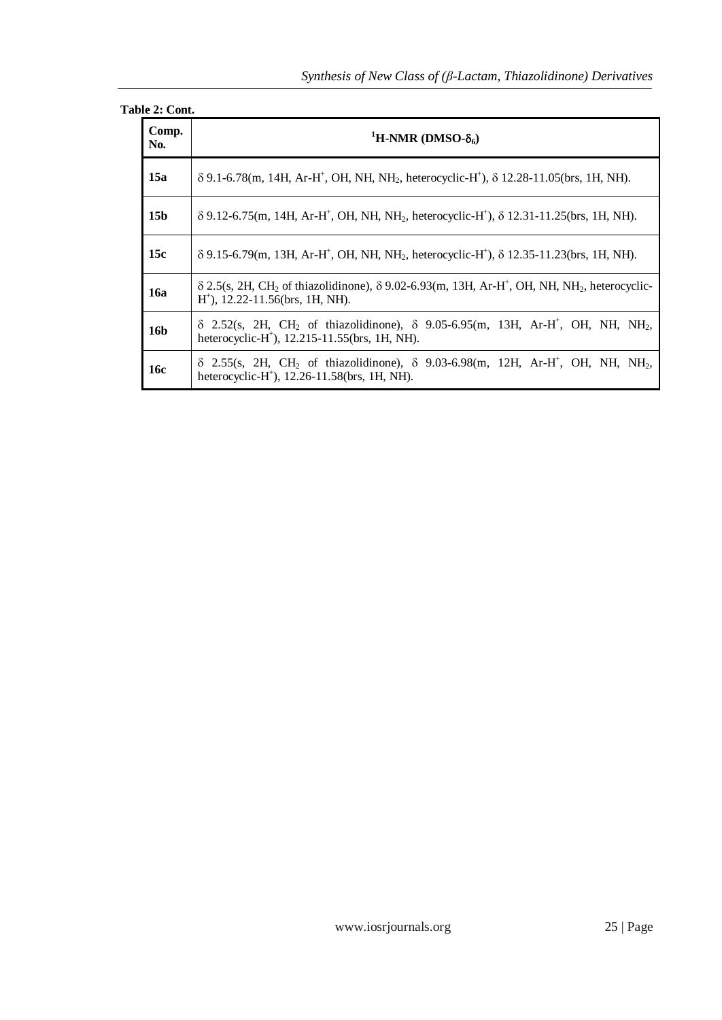### **Table 2: Cont.**

| Comp.<br>No.    | <sup>1</sup> H-NMR (DMSO- $\delta_6$ )                                                                                                                                                                                  |  |  |  |  |  |
|-----------------|-------------------------------------------------------------------------------------------------------------------------------------------------------------------------------------------------------------------------|--|--|--|--|--|
| 15a             | $\delta$ 9.1-6.78(m, 14H, Ar-H <sup>+</sup> , OH, NH, NH <sub>2</sub> , heterocyclic-H <sup>+</sup> ), $\delta$ 12.28-11.05(brs, 1H, NH).                                                                               |  |  |  |  |  |
| 15 <sub>b</sub> | $\delta$ 9.12-6.75(m, 14H, Ar-H <sup>+</sup> , OH, NH, NH <sub>2</sub> , heterocyclic-H <sup>+</sup> ), $\delta$ 12.31-11.25(brs, 1H, NH).                                                                              |  |  |  |  |  |
| 15c             | $\delta$ 9.15-6.79(m, 13H, Ar-H <sup>+</sup> , OH, NH, NH <sub>2</sub> , heterocyclic-H <sup>+</sup> ), $\delta$ 12.35-11.23(brs, 1H, NH).                                                                              |  |  |  |  |  |
| <b>16a</b>      | $\delta$ 2.5(s, 2H, CH <sub>2</sub> of thiazolidinone), $\delta$ 9.02-6.93(m, 13H, Ar-H <sup>+</sup> , OH, NH, NH <sub>2</sub> , heterocyclic-<br>$H^{\dagger}$ ), 12.22-11.56(brs, 1H, NH).                            |  |  |  |  |  |
| 16 <b>b</b>     | $\delta$ 2.52(s, 2H, CH <sub>2</sub> of thiazolidinone), $\delta$ 9.05-6.95(m, 13H, Ar-H <sup>+</sup> , OH, NH, NH <sub>2</sub> ,<br>heterocyclic-H <sup>+</sup> ), 12.215-11.55(brs, 1H, NH).                          |  |  |  |  |  |
| <b>16c</b>      | $\delta$ 2.55(s, 2H, CH <sub>2</sub> of thiazolidinone), $\delta$ 9.03-6.98(m, 12H, Ar-H <sup>+</sup> , OH, NH <sub>2</sub> , N <sub>H</sub> <sub>2</sub> ,<br>heterocyclic-H <sup>+</sup> ), 12.26-11.58(brs, 1H, NH). |  |  |  |  |  |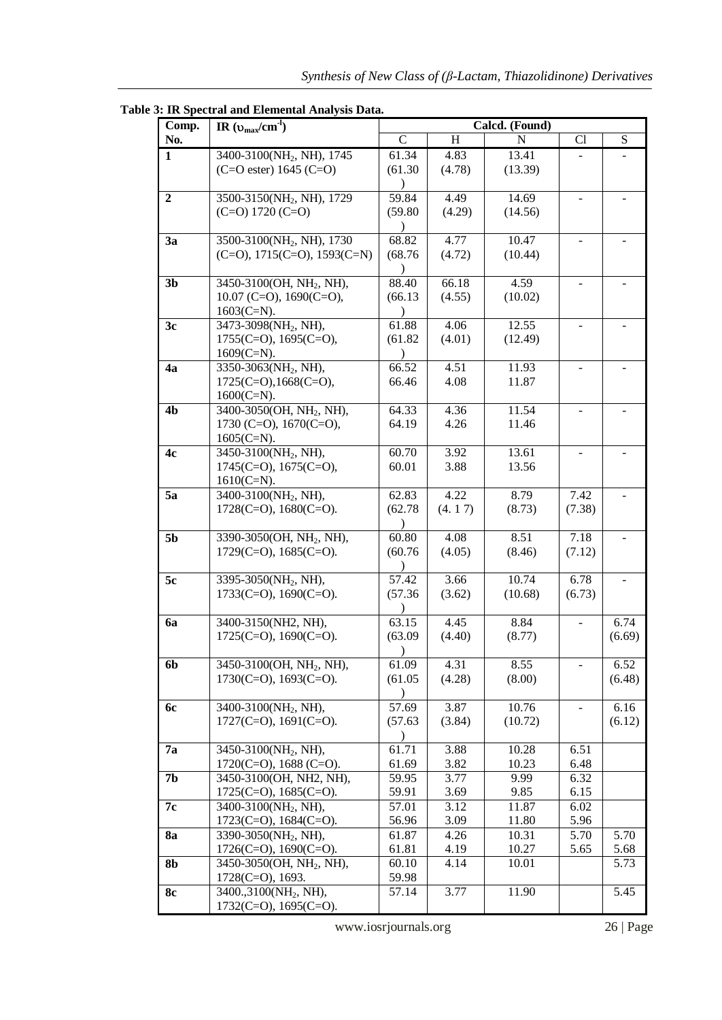| Comp.            | IR $(v_{max}/cm^{-1})$                       | Calcd. (Found)       |                  |         |                |        |
|------------------|----------------------------------------------|----------------------|------------------|---------|----------------|--------|
| No.              |                                              | $\mathcal{C}$        | H                | N       | Cl             | S      |
| $\mathbf{1}$     | 3400-3100(NH <sub>2</sub> , NH), 1745        | 61.34                | 4.83             | 13.41   |                |        |
|                  | $(C=O \text{ ester}) 1645 (C=O)$             | (61.30)              | (4.78)           | (13.39) |                |        |
|                  |                                              |                      |                  |         |                |        |
| $\boldsymbol{2}$ | 3500-3150(NH <sub>2</sub> , NH), 1729        | 59.84                | 4.49             | 14.69   |                |        |
|                  | $(C=0)$ 1720 $(C=0)$                         | (59.80)              | (4.29)           | (14.56) |                |        |
|                  |                                              | $\lambda$            |                  |         |                |        |
| 3a               | 3500-3100(NH <sub>2</sub> , NH), 1730        | 68.82                | 4.77             | 10.47   |                |        |
|                  | $(C=0)$ , 1715 $(C=0)$ , 1593 $(C=N)$        | (68.76)              | (4.72)           | (10.44) |                |        |
|                  |                                              | $\lambda$            |                  |         |                |        |
| 3 <sub>b</sub>   | 3450-3100(OH, NH <sub>2</sub> , NH),         | 88.40                | 66.18            | 4.59    |                |        |
|                  | $10.07$ (C=O), $1690$ (C=O),                 | (66.13)              | (4.55)           | (10.02) |                |        |
|                  | $1603$ (C=N).                                |                      |                  |         |                |        |
| 3c               | 3473-3098(NH <sub>2</sub> , NH),             | 61.88                | 4.06             | 12.55   |                |        |
|                  | $1755(C=O)$ , $1695(C=O)$ ,<br>$1609$ (C=N). | (61.82)<br>$\lambda$ | (4.01)           | (12.49) |                |        |
| 4a               | 3350-3063(NH <sub>2</sub> , NH),             | 66.52                | 4.51             | 11.93   |                |        |
|                  | $1725(C=O), 1668(C=O),$                      | 66.46                | 4.08             | 11.87   |                |        |
|                  | $1600(C=N)$ .                                |                      |                  |         |                |        |
| 4 <sub>b</sub>   | 3400-3050(OH, NH <sub>2</sub> , NH),         | 64.33                | 4.36             | 11.54   | $\blacksquare$ |        |
|                  | 1730 (C=O), $1670$ (C=O),                    | 64.19                | 4.26             | 11.46   |                |        |
|                  | $1605$ (C=N).                                |                      |                  |         |                |        |
| 4c               | 3450-3100(NH <sub>2</sub> , NH),             | 60.70                | 3.92             | 13.61   |                |        |
|                  | 1745(C=O), 1675(C=O),                        | 60.01                | 3.88             | 13.56   |                |        |
|                  | $1610(C=N)$ .                                |                      |                  |         |                |        |
| 5a               | 3400-3100(NH <sub>2</sub> , NH),             | 62.83                | 4.22             | 8.79    | 7.42           |        |
|                  | $1728$ (C=O), $1680$ (C=O).                  | (62.78)              | (4.17)           | (8.73)  | (7.38)         |        |
|                  |                                              | $\lambda$            |                  |         |                |        |
| 5 <sub>b</sub>   | 3390-3050(OH, NH <sub>2</sub> , NH),         | 60.80                | 4.08             | 8.51    | 7.18           |        |
|                  | $1729(C=0)$ , $1685(C=0)$ .                  | (60.76)              | (4.05)           | (8.46)  | (7.12)         |        |
|                  |                                              |                      |                  |         |                |        |
| 5c               | 3395-3050(NH <sub>2</sub> , NH),             | 57.42                | 3.66             | 10.74   | 6.78           |        |
|                  | $1733(C=O)$ , $1690(C=O)$ .                  | (57.36)              | (3.62)           | (10.68) | (6.73)         |        |
| 6a               | 3400-3150(NH2, NH),                          | 63.15                | $\frac{4.45}{9}$ | 8.84    |                | 6.74   |
|                  | $1725(C=O)$ , $1690(C=O)$ .                  | (63.09)              | (4.40)           | (8.77)  |                | (6.69) |
|                  |                                              |                      |                  |         |                |        |
| 6b               | 3450-3100(OH, NH <sub>2</sub> , NH),         | 61.09                | 4.31             | 8.55    | $\blacksquare$ | 6.52   |
|                  | $1730(C=O)$ , $1693(C=O)$ .                  | (61.05)              | (4.28)           | (8.00)  |                | (6.48) |
|                  |                                              |                      |                  |         |                |        |
| <b>6c</b>        | 3400-3100(NH <sub>2</sub> , NH),             | 57.69                | 3.87             | 10.76   |                | 6.16   |
|                  | $1727(C=O)$ , $1691(C=O)$ .                  | (57.63)              | (3.84)           | (10.72) |                | (6.12) |
|                  |                                              | $\mathcal{E}$        |                  |         |                |        |
| 7а               | 3450-3100(NH <sub>2</sub> , NH),             | 61.71                | 3.88             | 10.28   | 6.51           |        |
|                  | $1720(C=O)$ , 1688 (C=O).                    | 61.69                | 3.82             | 10.23   | 6.48           |        |
| 7 <sub>b</sub>   | 3450-3100(OH, NH2, NH),                      | 59.95                | 3.77             | 9.99    | 6.32           |        |
|                  | 1725(C=O), 1685(C=O).                        | 59.91                | 3.69             | 9.85    | 6.15           |        |
| 7c               | 3400-3100(NH <sub>2</sub> , NH),             | 57.01                | 3.12             | 11.87   | 6.02           |        |
|                  | $1723$ (C=O), $1684$ (C=O).                  | 56.96                | 3.09             | 11.80   | 5.96           |        |
| <b>8a</b>        | 3390-3050(NH <sub>2</sub> , NH),             | 61.87                | 4.26             | 10.31   | 5.70           | 5.70   |
|                  | $1726$ (C=O), $1690$ (C=O).                  | 61.81                | 4.19             | 10.27   | 5.65           | 5.68   |
| 8b               | 3450-3050(OH, NH <sub>2</sub> , NH),         | 60.10                | 4.14             | 10.01   |                | 5.73   |
|                  | 1728(C=O), 1693.                             | 59.98                |                  |         |                |        |
| <b>8c</b>        | 3400.,3100(NH <sub>2</sub> , NH),            | 57.14                | 3.77             | 11.90   |                | 5.45   |
|                  | $1732(C=O)$ , $1695(C=O)$ .                  |                      |                  |         |                |        |

**Table 3: IR Spectral and Elemental Analysis Data.**

www.iosrjournals.org 26 | Page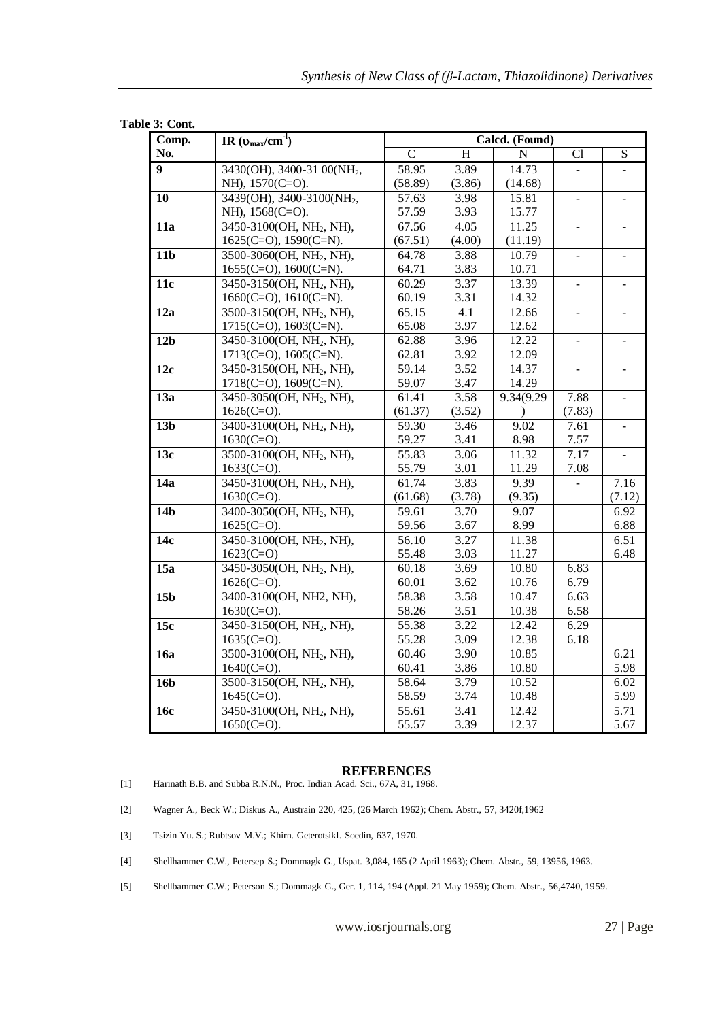| э: Com.<br>Comp. | IR $(\upsilon_{max}/cm^1)$                            | Calcd. (Found) |              |                |                          |                          |  |
|------------------|-------------------------------------------------------|----------------|--------------|----------------|--------------------------|--------------------------|--|
| No.              |                                                       | $\overline{C}$ | H            | $\overline{N}$ | Cl                       | $\overline{S}$           |  |
| $\overline{9}$   | 3430(OH), 3400-31 00(NH <sub>2</sub> ,                | 58.95          | 3.89         | 14.73          | $\blacksquare$           |                          |  |
|                  | NH), 1570(C=O).                                       | (58.89)        | (3.86)       | (14.68)        |                          |                          |  |
| 10               | 3439(OH), 3400-3100(NH <sub>2</sub> ,                 | 57.63          | 3.98         | 15.81          | $\overline{\phantom{a}}$ |                          |  |
|                  | NH), 1568(C=O).                                       | 57.59          | 3.93         | 15.77          |                          |                          |  |
| 11a              | 3450-3100(OH, NH <sub>2</sub> , NH),                  | 67.56          | 4.05         | 11.25          | $\overline{\phantom{a}}$ | $\blacksquare$           |  |
|                  | $1625(C=O)$ , $1590(C=N)$ .                           | (67.51)        | (4.00)       | (11.19)        |                          |                          |  |
| 11 <sub>b</sub>  | 3500-3060(OH, NH <sub>2</sub> , NH),                  | 64.78          | 3.88         | 10.79          | $\overline{\phantom{a}}$ |                          |  |
|                  | $1655(C=O)$ , $1600(C=N)$ .                           | 64.71          | 3.83         | 10.71          |                          |                          |  |
| 11c              | 3450-3150(OH, NH <sub>2</sub> , NH),                  | 60.29          | 3.37         | 13.39          | $\bar{\phantom{a}}$      | $\sim$                   |  |
|                  | $1660(C=O)$ , $1610(C=N)$ .                           | 60.19          | 3.31         | 14.32          |                          |                          |  |
| 12a              | 3500-3150(OH, NH <sub>2</sub> , NH),                  | 65.15          | 4.1          | 12.66          | $\blacksquare$           |                          |  |
|                  | $1715(C=O)$ , $1603(C=N)$ .                           | 65.08          | 3.97         | 12.62          |                          |                          |  |
| 12 <sub>b</sub>  | 3450-3100(OH, NH <sub>2</sub> , NH),                  | 62.88          | 3.96         | 12.22          | $\Box$                   | $\blacksquare$           |  |
|                  | $1713$ (C=O), $1605$ (C=N).                           | 62.81          | 3.92         | 12.09          |                          |                          |  |
| 12c              | 3450-3150(OH, NH <sub>2</sub> , NH),                  | 59.14          | 3.52         | 14.37          | $\bar{\phantom{a}}$      | ÷.                       |  |
|                  | $1718$ (C=O), $1609$ (C=N).                           | 59.07          | 3.47         | 14.29          |                          |                          |  |
| $\overline{13a}$ | 3450-3050(OH, NH <sub>2</sub> , NH),                  | 61.41          | 3.58         | 9.34(9.29)     | 7.88                     | $\overline{\phantom{a}}$ |  |
|                  | $1626$ (C=O).                                         | (61.37)        | (3.52)       |                | (7.83)                   |                          |  |
| 13 <sub>b</sub>  | 3400-3100(OH, NH <sub>2</sub> , NH),                  | 59.30          | 3.46         | 9.02           | 7.61                     |                          |  |
|                  | $1630(C=O)$ .                                         | 59.27          | 3.41         | 8.98           | 7.57                     |                          |  |
| $\overline{13c}$ | 3500-3100(OH, NH <sub>2</sub> , NH),                  | 55.83          | 3.06         | 11.32          | 7.17                     |                          |  |
|                  | $1633(C=O)$ .                                         | 55.79          | 3.01         | 11.29          | 7.08                     |                          |  |
| 14a              | 3450-3100(OH, NH <sub>2</sub> , NH),                  | 61.74          | 3.83         | 9.39           |                          | 7.16                     |  |
|                  | $1630(C=O)$ .                                         | (61.68)        | (3.78)       | (9.35)         |                          | (7.12)                   |  |
| 14 <sub>b</sub>  | 3400-3050(OH, NH <sub>2</sub> , NH),                  | 59.61          | 3.70         | 9.07           |                          | 6.92                     |  |
| 14c              | $1625(C=O)$ .<br>3450-3100(OH, NH <sub>2</sub> , NH), | 59.56<br>56.10 | 3.67<br>3.27 | 8.99<br>11.38  |                          | 6.88<br>6.51             |  |
|                  | $1623(C=O)$                                           | 55.48          | 3.03         | 11.27          |                          | 6.48                     |  |
| 15a              | 3450-3050(OH, NH <sub>2</sub> , NH),                  | 60.18          | 3.69         | 10.80          | 6.83                     |                          |  |
|                  | $1626$ (C=O).                                         | 60.01          | 3.62         | 10.76          | 6.79                     |                          |  |
| 15 <sub>b</sub>  | 3400-3100(OH, NH2, NH),                               | 58.38          | 3.58         | 10.47          | 6.63                     |                          |  |
|                  | $1630(C=O)$ .                                         | 58.26          | 3.51         | 10.38          | 6.58                     |                          |  |
| 15c              | 3450-3150(OH, NH <sub>2</sub> , NH),                  | 55.38          | 3.22         | 12.42          | 6.29                     |                          |  |
|                  | $1635(C=O)$ .                                         | 55.28          | 3.09         | 12.38          | 6.18                     |                          |  |
| $\overline{16a}$ | 3500-3100(OH, NH <sub>2</sub> , NH),                  | 60.46          | 3.90         | 10.85          |                          | 6.21                     |  |
|                  | $1640(C=O)$ .                                         | 60.41          | 3.86         | 10.80          |                          | 5.98                     |  |
| 16 <sub>b</sub>  | 3500-3150(OH, NH <sub>2</sub> , NH),                  | 58.64          | 3.79         | 10.52          |                          | 6.02                     |  |
|                  | $1645(C=O)$ .                                         | 58.59          | 3.74         | 10.48          |                          | 5.99                     |  |
| 16c              | 3450-3100(OH, NH <sub>2</sub> , NH),                  | 55.61          | 3.41         | 12.42          |                          | 5.71                     |  |
|                  | $1650(C=O)$ .                                         | 55.57          | 3.39         | 12.37          |                          | 5.67                     |  |

#### **REFERENCES**

- [1] Harinath B.B. and Subba R.N.N., Proc. Indian Acad. Sci., 67A, 31, 1968.
- [2] Wagner A., Beck W.; Diskus A., Austrain 220, 425, (26 March 1962); Chem. Abstr., 57, 3420f,1962
- [3] Tsizin Yu. S.; Rubtsov M.V.; Khirn. Geterotsikl. Soedin, 637, 1970.
- [4] Shellhammer C.W., Petersep S.; Dommagk G., Uspat. 3,084, 165 (2 April 1963); Chem. Abstr., 59, 13956, 1963.
- [5] Shellbammer C.W.; Peterson S.; Dommagk G., Ger. 1, 114, 194 (Appl. 21 May 1959); Chem. Abstr., 56,4740, 1959.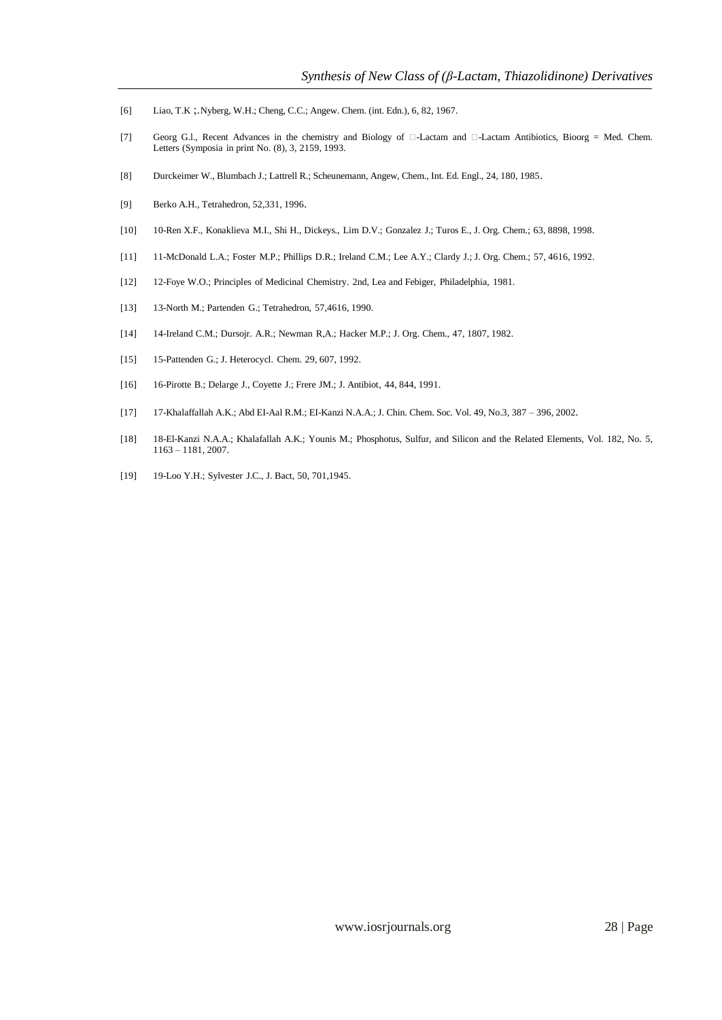- [6] Liao, T.K ;.Nyberg, W.H.; Cheng, C.C.; Angew. Chem. (int. Edn.), 6, 82, 1967.
- [7] Georg G.l., Recent Advances in the chemistry and Biology of  $\Box$ -Lactam and  $\Box$ -Lactam Antibiotics, Bioorg = Med. Chem. Letters (Symposia in print No. (8), 3, 2159, 1993.
- [8] Durckeimer W., Blumbach J.; Lattrell R.; Scheunemann, Angew, Chem., Int. Ed. Engl., 24, 180, 1985.
- [9] Berko A.H., Tetrahedron, 52,331, 1996.
- [10] 10-Ren X.F., Konaklieva M.I., Shi H., Dickeys., Lim D.V.; Gonzalez J.; Turos E., J. Org. Chem.; 63, 8898, 1998.
- [11] 11-McDonald L.A.; Foster M.P.; Phillips D.R.; Ireland C.M.; Lee A.Y.; Clardy J.; J. Org. Chem.; 57, 4616, 1992.
- [12] 12-Foye W.O.; Principles of Medicinal Chemistry. 2nd, Lea and Febiger, Philadelphia, 1981.
- [13] 13-North M.; Partenden G.; Tetrahedron, 57,4616, 1990.
- [14] 14-Ireland C.M.; Dursojr. A.R.; Newman R,A.; Hacker M.P.; J. Org. Chem., 47, 1807, 1982.
- [15] 15-Pattenden G.; J. Heterocycl. Chem. 29, 607, 1992.
- [16] 16-Pirotte B.; Delarge J., Coyette J.; Frere JM.; J. Antibiot, 44, 844, 1991.
- [17] 17-Khalaffallah A.K.; Abd EI-Aal R.M.; EI-Kanzi N.A.A.; J. Chin. Chem. Soc. Vol. 49, No.3, 387 396, 2002.
- [18] 18-El-Kanzi N.A.A.; Khalafallah A.K.; Younis M.; Phosphotus, Sulfur, and Silicon and the Related Elements, Vol. 182, No. 5, 1163 – 1181, 2007.
- [19] 19-Loo Y.H.; Sylvester J.C., J. Bact, 50, 701,1945.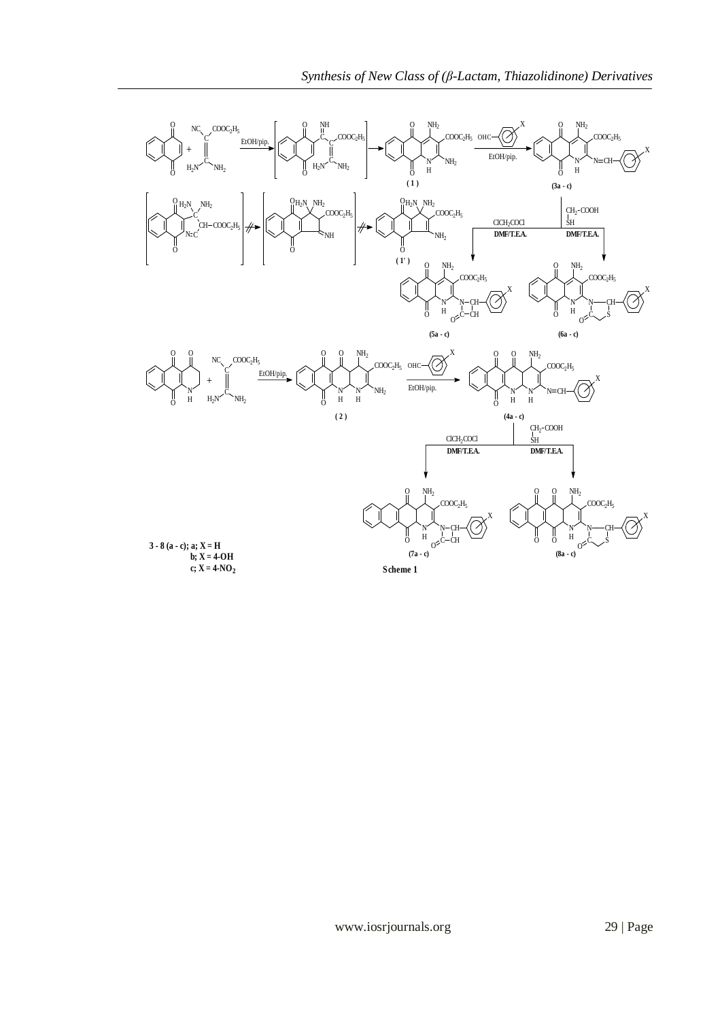